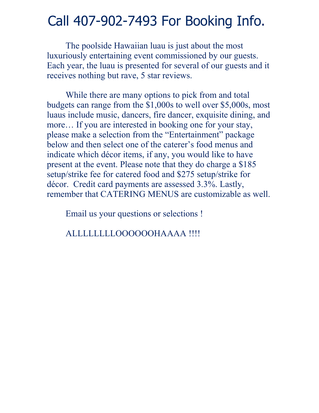## Call 407-902-7493 For Booking Info.

The poolside Hawaiian luau is just about the most luxuriously entertaining event commissioned by our guests. Each year, the luau is presented for several of our guests and it receives nothing but rave, 5 star reviews.

While there are many options to pick from and total budgets can range from the \$1,000s to well over \$5,000s, most luaus include music, dancers, fire dancer, exquisite dining, and more… If you are interested in booking one for your stay, please make a selection from the "Entertainment" package below and then select one of the caterer's food menus and indicate which décor items, if any, you would like to have present at the event. Please note that they do charge a \$185 setup/strike fee for catered food and \$275 setup/strike for décor. Credit card payments are assessed 3.3%. Lastly, remember that CATERING MENUS are customizable as well.

Email us your questions or selections !

ALLLLLLLLOOOOOOHAAAA !!!!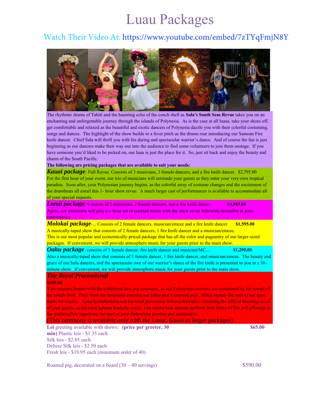# Luau Packages

### Watch Their Video At: https://www.youtube.com/embed/7zTYqFmjN8Y



The rhythmic drums of Tahiti and the haunting echo of the conch shell as **Sala's South Seas Revue** takes you on an enchanting and unforgettable journey through the islands of Polynesia. As is the case at all luaus, take your shoes off, get comfortable and relaxed as the beautiful and exotic dancers of Polynesia dazzle you with their colorful costuming, songs and dances. The highlight of the show builds to a fever pitch as the drums roar introducing our Samoan Fire knife dancer. Chief Sala will thrill you with his daring and spectacular warrior's dance. And of course the fun is just beginning as our dancers make their way out into the audience to find some volunteers to join them onstage. If you have someone you'd liked to be picked on, our luau is just the place for it. So, just sit back and enjoy the beauty and charm of the South Pacific.

#### **The following are pricing packages that are available to suit your needs:**

*Kauai package*- Full Revue. Consists of 3 musicians, 3 female dancers, and a fire knife dancer. \$2,795.00 For the first hour of your event, our trio of musicians will serenade your guests as they enter your very own tropical paradise. Soon after, your Polynesian journey begins, as the colorful array of costume changes and the excitement of the drumbeats all entail this 1- hour show revue. A much larger cast of performances is available to accommodate all of your special requests.

*Lanai package*- Consists of 2 musicians, 2 female dancers, and a fire knife dancer **\$1,985.00** Again, our musicians will play a 1-hour set of cocktail music with the show revue following thereafter at your convenience.

*Molokai package*-... Consists of 2 female dancers, musician/emcee and a fire knife dancer **\$1,595.00** A musically-taped show that consists of 2 female dancers, 1 fire knife dancer and a musician/emcee. This is our most popular and economically-priced package that has all the color and pageantry of our larger-sized packages. If convenient, we will provide atmosphere music for your guests prior to the main show.

*Oahu package*- consists of 1 female dancer, fire knife dancer and musician/MC.... **\$1,295.00** Also a musically-taped show that consists of 1 female dancer, 1 fire knife dancer, and musician/emcee. The beauty and grace of our hula dancers, and the spectacular awe of our warrior's dance of the fire knife is presented to you in a 30 minute show. If convenient, we will provide atmosphere music for your guests prior to the main show.

#### *The Royal Processional*:

#### **\$695.00**

Your evening begins with the traditional Imu pig ceremony, as our Polynesian warriors are summoned by the sound of the conch shell. They enter our festivities carrying our kalua pua'a (roasted pig) , which signals the start of our feast made for royalty. King Kamehameha and his royal procession follows thereafter, anointing the official blessings to all of your guests, as the royal kahuna leads the court. Our native hula dancers perform their dance of fire and offerings to the goddess Pele signifying the start of your Polynesian journey and celebration.

(This ceremony is available only with the Lanai, Kauai or larger packages)

**Lei** greeting available with shows: **(price per greeter, 30 \$65.00) \$65.00 min)** Plastic leis - \$1.35 each Silk leis - \$2.85 each Deluxe Silk leis - \$2.50 each Fresh leis - \$19.95 each (minimum order of 40)

Roasted pig, decorated on a board  $(30 - 40 \text{ servings})$  \$590.00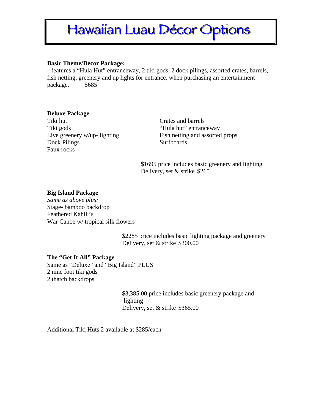# Hawaiian Luau Décor Options

#### **Basic Theme/Décor Package:**

--features a "Hula Hut" entranceway, 2 tiki gods, 2 dock pilings, assorted crates, barrels, fish netting, greenery and up lights for entrance, when purchasing an entertainment package. \$685

#### **Deluxe Package**

Tiki hut Crates and barrels Tiki gods "Hula hut" entranceway Dock Pilings Surfboards Faux rocks

Live greenery w/up- lighting Fish netting and assorted props

\$1695 price includes basic greenery and lighting Delivery, set & strike \$265

#### **Big Island Package**

*Same as above plus:* Stage- bamboo backdrop Feathered Kahili's War Canoe w/ tropical silk flowers

> \$2285 price includes basic lighting package and greenery Delivery, set & strike \$300.00

#### **The "Get It All" Package**

Same as "Deluxe" and "Big Island" PLUS 2 nine foot tiki gods 2 thatch backdrops

> \$3,385.00 price includes basic greenery package and lighting Delivery, set & strike \$365.00

Additional Tiki Huts 2 available at \$285/each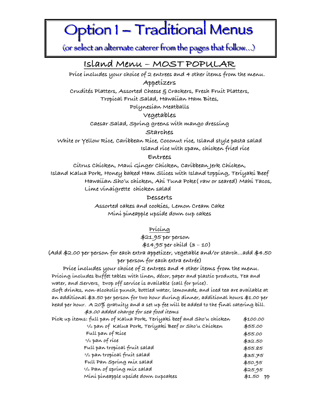# Option 1 – Traditional Menus

(or select an alternate caterer from the pages that follow...)

**Island Menu – MOST POPULAR Price includes your choice of 2 entrees and 4 other items from the menu. Appetizers**

**Crudités Platters, Assorted Cheese & Crackers, Fresh Fruit Platters,**

**Tropical Fruit Salad, Hawaiian Ham Bites,**

**Polynesian Meatballs**

#### **Vegetables**

**Caesar Salad, Spring greens with mango dressing**

**Starches**

**White or Yellow Rice, Caribbean Rice, Coconut rice, Island style pasta salad Island rice with spam, chicken fried rice**

#### **Entrees**

**Citrus Chicken, Maui Ginger Chicken, Caribbean Jerk Chicken, Island Kalua Pork, Honey baked Ham Slices with Island topping, Teriyaki Beef Hawaiian Sho'u chicken, Ahi Tuna Poke( raw or seared) Mahi Tacos, Lime vinaigrette chicken salad** 

#### **Desserts**

**Assorted cakes and cookies, Lemon Cream Cake Mini pineapple upside down cup cakes**

**Pricing**

**\$21.95 per person**

#### **\$14.95 per child (3 – 10)**

**(Add \$2.00 per person for each extra appetizer, vegetable and/or starch…add \$4.50 per person for each extra entrée)**

 **Price includes your choice of 2 entrees and 4 other items from the menu. Pricing includes buffet tables with linen, décor, paper and plastic products, Tea and water, and Servers. Drop off service is available (call for price).** 

**Soft drinks, non-alcoholic punch, bottled water, lemonade, and iced tea are available at an additional \$3.50 per person for two hour during dinner, additional hours \$1.00 per head per hour. A 20% gratuity and a set up fee will be added to the final catering bill. \$3.00 added charge for sea food items**

| Píck up ítems: full pan of Kalua Pork, Teríyakí beef and Sho'u chícken | \$100.00                          |
|------------------------------------------------------------------------|-----------------------------------|
| 1/2 pan of Kalua Pork, Teríyakí Beef or Sho'u Chícken                  | \$55.00                           |
| Full pan of Ríce                                                       | \$55.00                           |
| $1/2$ pan of rice                                                      | \$32.50                           |
| Full pan tropícal fruít salad                                          | \$55.85                           |
| $1/2$ pan tropical fruit salad                                         | \$35.75                           |
| Full Pan Spring mix salad                                              | \$50.95                           |
| $1/2$ Pan of spring mix salad                                          | \$25.95                           |
| Míní píneapple upsíde down cupcakes                                    | \$1.50<br>$\mathsf{P} \mathsf{P}$ |
|                                                                        |                                   |